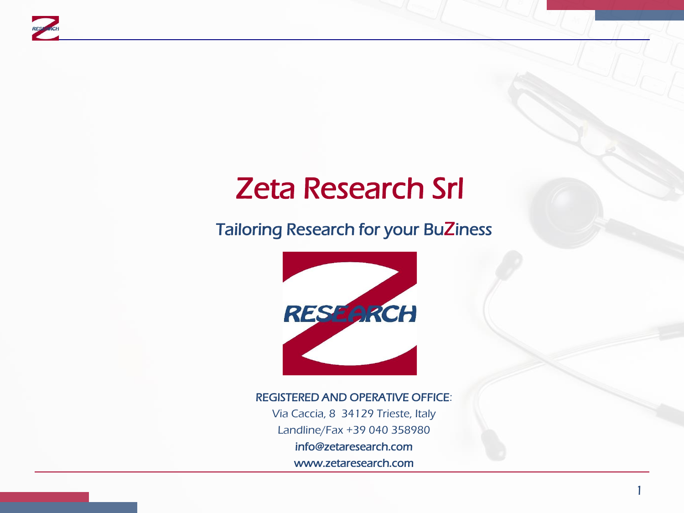

# Zeta Research Srl

#### Tailoring Research for your BuZiness



#### REGISTERED AND OPERATIVE OFFICE:

Via Caccia, 8 34129 Trieste, Italy Landline/Fax +39 040 358980

info@zetaresearch.com

www.zetaresearch.com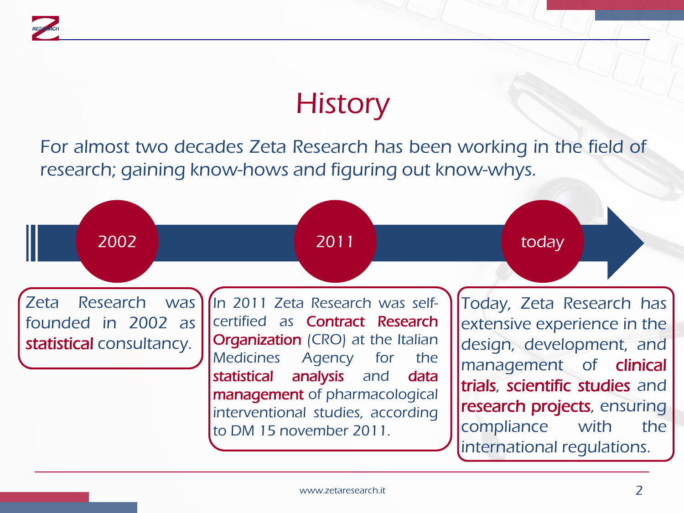

# **History**

For almost two decades Zeta Research has been working in the field of research; gaining know-hows and figuring out know-whys.

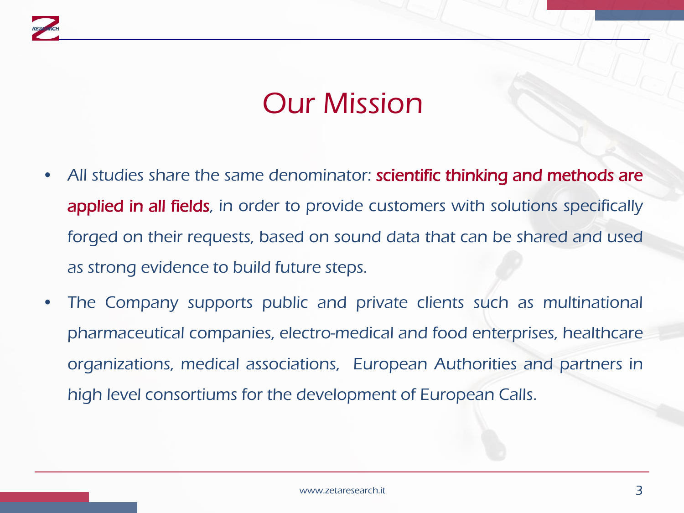

#### Our Mission

- All studies share the same denominator: **scientific thinking and methods are** applied in all fields, in order to provide customers with solutions specifically forged on their requests, based on sound data that can be shared and used as strong evidence to build future steps.
- The Company supports public and private clients such as multinational pharmaceutical companies, electro-medical and food enterprises, healthcare organizations, medical associations, European Authorities and partners in high level consortiums for the development of European Calls.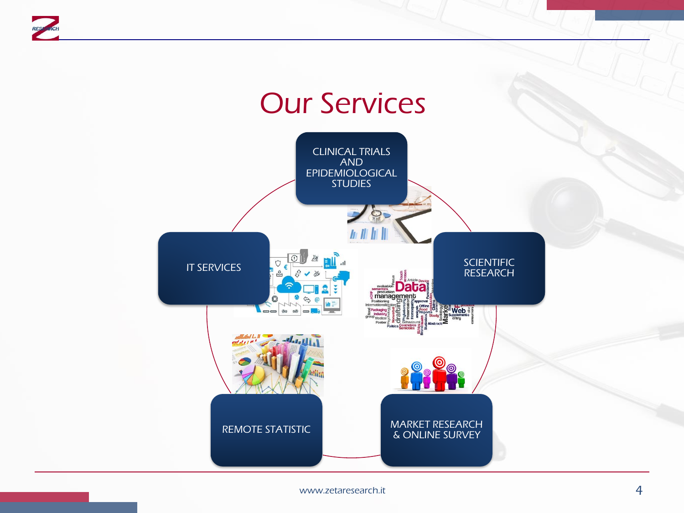

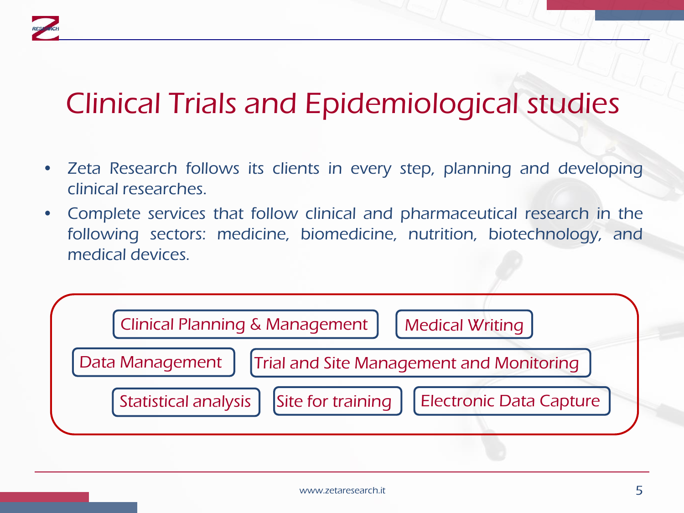# Clinical Trials and Epidemiological studies

- Zeta Research follows its clients in every step, planning and developing clinical researches.
- Complete services that follow clinical and pharmaceutical research in the following sectors: medicine, biomedicine, nutrition, biotechnology, and medical devices.

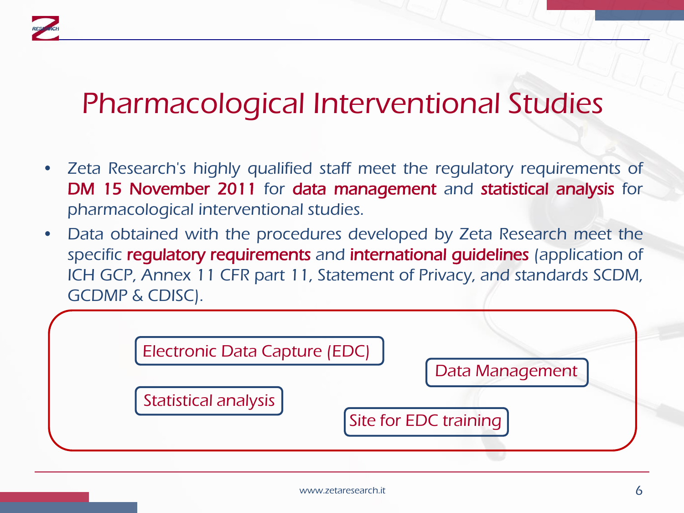### Pharmacological Interventional Studies

- Zeta Research's highly qualified staff meet the regulatory requirements of DM 15 November 2011 for data management and statistical analysis for pharmacological interventional studies.
- Data obtained with the procedures developed by Zeta Research meet the specific regulatory requirements and international guidelines (application of ICH GCP, Annex 11 CFR part 11, Statement of Privacy, and standards SCDM, GCDMP & CDISC).

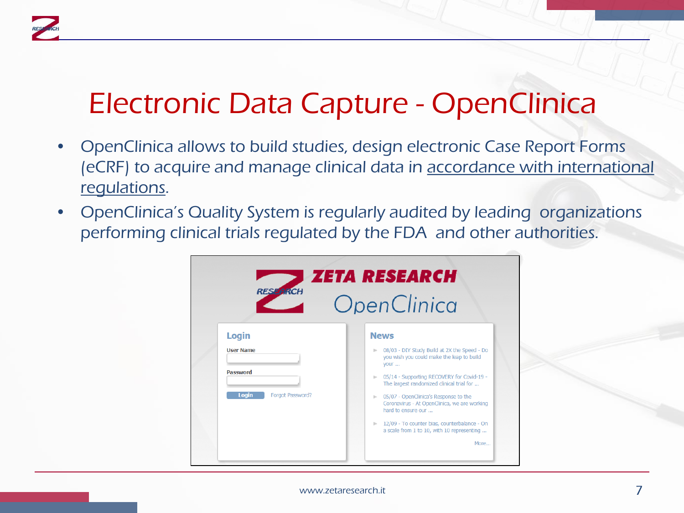### Electronic Data Capture - OpenClinica

- OpenClinica allows to build studies, design electronic Case Report Forms (eCRF) to acquire and manage clinical data in accordance with international regulations.
- OpenClinica's Quality System is regularly audited by leading organizations performing clinical trials regulated by the FDA and other authorities.

| <i><b>I ZETA RESEARCH</b></i><br><b>RESEARCH</b><br>OpenClinica                  |                                                                                                                                                                                                                                                                                                                                                                                                                                               |
|----------------------------------------------------------------------------------|-----------------------------------------------------------------------------------------------------------------------------------------------------------------------------------------------------------------------------------------------------------------------------------------------------------------------------------------------------------------------------------------------------------------------------------------------|
| <b>Login</b><br><b>User Name</b><br><b>Password</b><br>Login<br>Forgot Password? | <b>News</b><br>08/03 - DIY Study Build at 2X the Speed - Do<br>you wish you could make the leap to build<br>vour<br>05/14 - Supporting RECOVERY for Covid-19 -<br>Director<br>The largest randomized clinical trial for<br>05/07 - OpenClinica's Response to the<br>Dr.<br>Coronavirus - At OpenClinica, we are working<br>hard to ensure our<br>1 12/09 - To counter bias, counterbalance - On<br>a scale from 1 to 10, with 10 representing |

www.zetaresearch.it **7**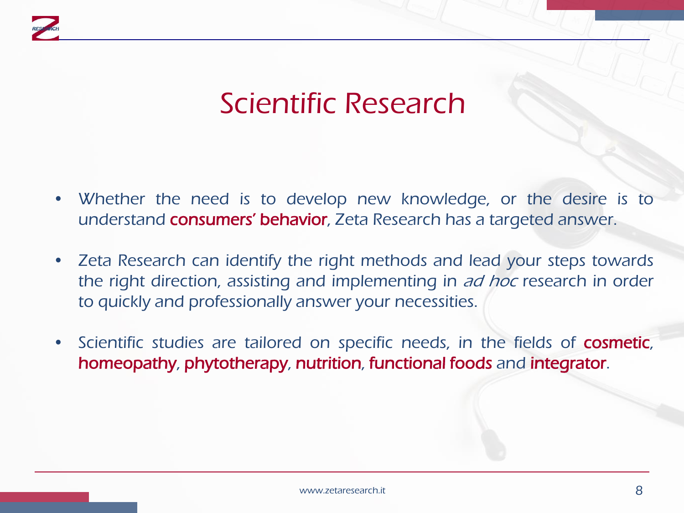

## Scientific Research

- Whether the need is to develop new knowledge, or the desire is to understand consumers' behavior, Zeta Research has a targeted answer.
- Zeta Research can identify the right methods and lead your steps towards the right direction, assisting and implementing in ad hoc research in order to quickly and professionally answer your necessities.
- Scientific studies are tailored on specific needs, in the fields of **cosmetic**, homeopathy, phytotherapy, nutrition, functional foods and integrator.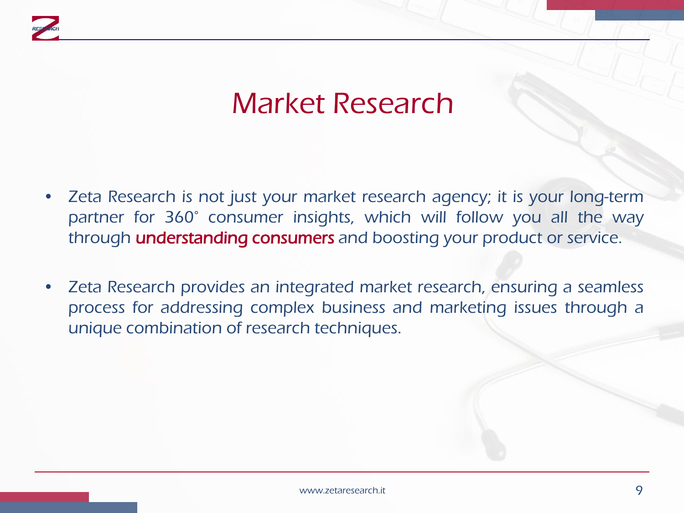

#### Market Research

- Zeta Research is not just your market research agency; it is your long-term partner for 360° consumer insights, which will follow you all the way through **understanding consumers** and boosting your product or service.
- Zeta Research provides an integrated market research, ensuring a seamless process for addressing complex business and marketing issues through a unique combination of research techniques.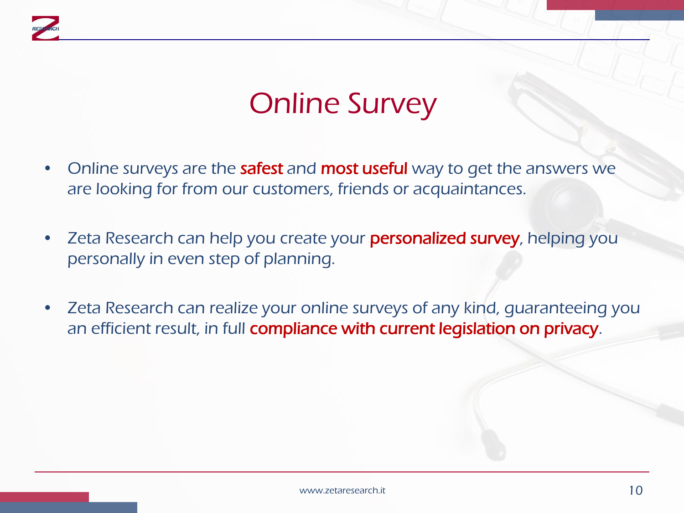

# Online Survey

- Online surveys are the **safest** and **most useful** way to get the answers we are looking for from our customers, friends or acquaintances.
- Zeta Research can help you create your **personalized survey**, helping you personally in even step of planning.
- Zeta Research can realize your online surveys of any kind, guaranteeing you an efficient result, in full compliance with current legislation on privacy.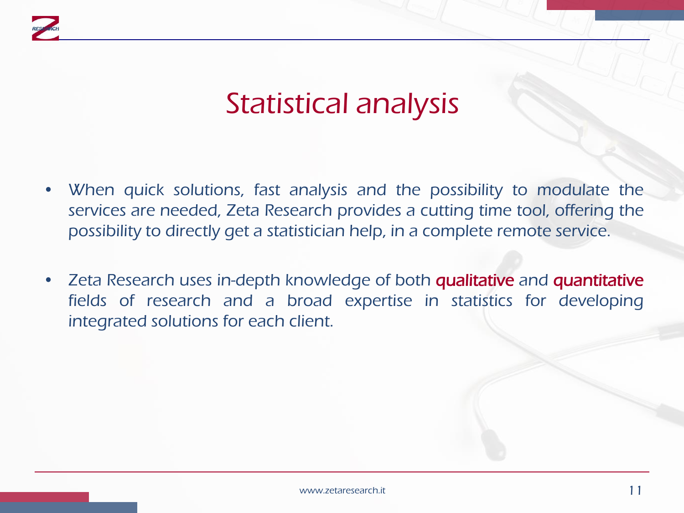

### Statistical analysis

- When quick solutions, fast analysis and the possibility to modulate the services are needed, Zeta Research provides a cutting time tool, offering the possibility to directly get a statistician help, in a complete remote service.
- Zeta Research uses in-depth knowledge of both qualitative and quantitative fields of research and a broad expertise in statistics for developing integrated solutions for each client.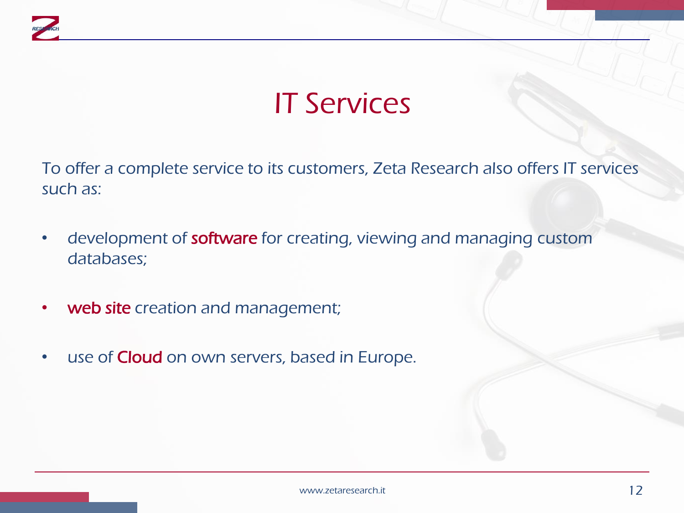

# IT Services

To offer a complete service to its customers, Zeta Research also offers IT services such as:

- development of software for creating, viewing and managing custom databases;
- web site creation and management;
- use of **Cloud** on own servers, based in Europe.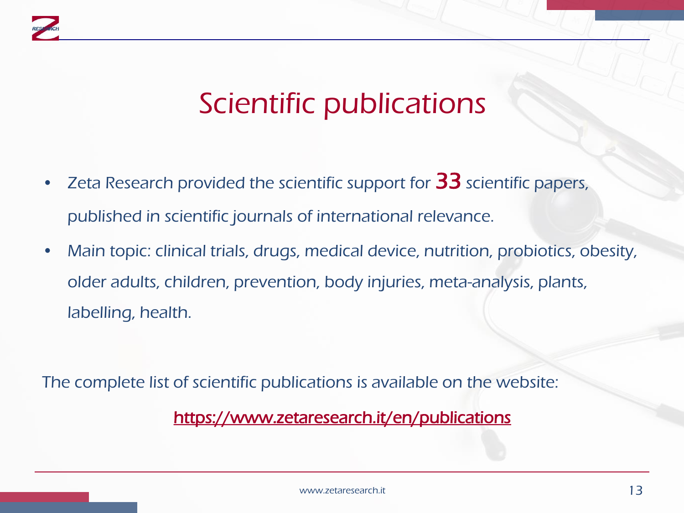

### Scientific publications

- Zeta Research provided the scientific support for  $33$  scientific papers, published in scientific journals of international relevance.
- Main topic: clinical trials, drugs, medical device, nutrition, probiotics, obesity, older adults, children, prevention, body injuries, meta-analysis, plants, labelling, health.

The complete list of scientific publications is available on the website:

#### <https://www.zetaresearch.it/en/publications>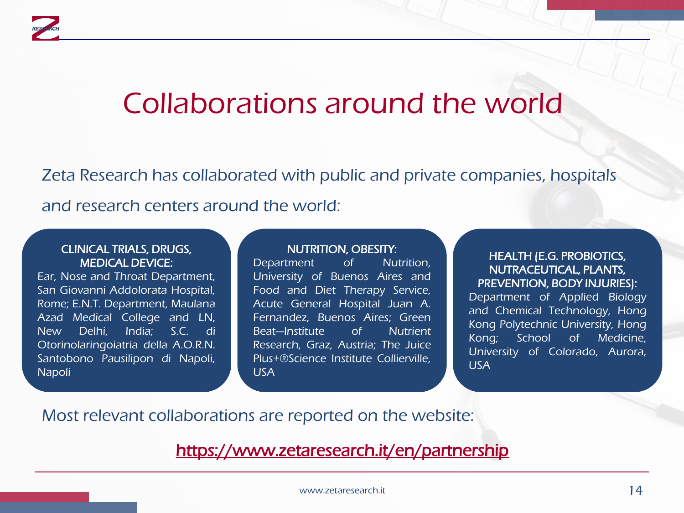

#### Collaborations around the world

Zeta Research has collaborated with public and private companies, hospitals and research centers around the world:

#### CLINICAL TRIALS, DRUGS, MEDICAL DEVICE:

Ear, Nose and Throat Department, San Giovanni Addolorata Hospital, Rome; E.N.T. Department, Maulana Azad Medical College and LN, New Delhi, India; S.C. di Otorinolaringoiatria della A.O.R.N. Santobono Pausilipon di Napoli, Napoli

#### NUTRITION, OBESITY:

Department of Nutrition, University of Buenos Aires and Food and Diet Therapy Service, Acute General Hospital Juan A. Fernandez, Buenos Aires; Green Beat—Institute of Nutrient Research, Graz, Austria; The Juice Plus+®Science Institute Collierville, USA

#### HEALTH (E.G. PROBIOTICS, NUTRACEUTICAL, PLANTS, PREVENTION, BODY INJURIES):

Department of Applied Biology and Chemical Technology, Hong Kong Polytechnic University, Hong Kong; School of Medicine, University of Colorado, Aurora, USA

Most relevant collaborations are reported on the website:

<https://www.zetaresearch.it/en/partnership>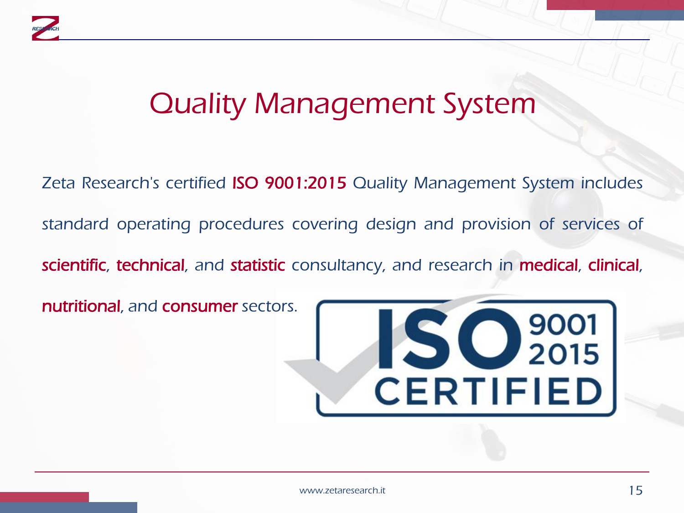

### Quality Management System

Zeta Research's certified ISO 9001:2015 Quality Management System includes standard operating procedures covering design and provision of services of scientific, technical, and statistic consultancy, and research in medical, clinical, nutritional, and consumer sectors.

IS C 2001 CERTIFIED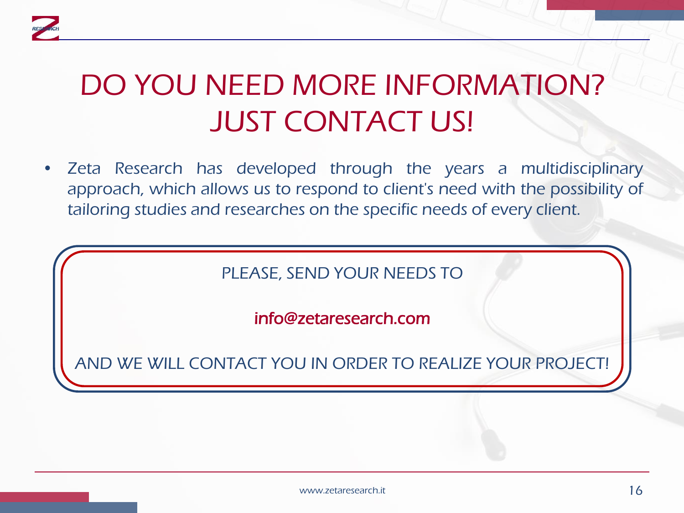

# DO YOU NEED MORE INFORMATION? JUST CONTACT US!

• Zeta Research has developed through the years a multidisciplinary approach, which allows us to respond to client's need with the possibility of tailoring studies and researches on the specific needs of every client.

PLEASE, SEND YOUR NEEDS TO

info@zetaresearch.com

AND WE WILL CONTACT YOU IN ORDER TO REALIZE YOUR PROJECT!